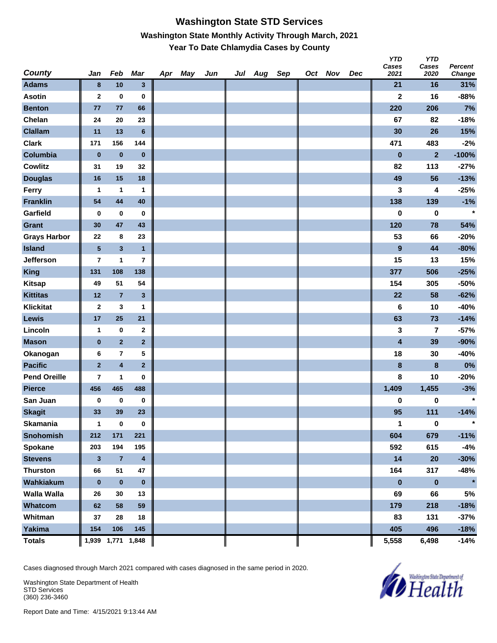### **Washington State STD Services Washington State Monthly Activity Through March, 2021 Year To Date Chlamydia Cases by County**

| <b>County</b>       | Jan                     | Feb                     | Mar                     | Apr May | Jun | Jul Aug Sep |  | Oct Nov | Dec | טוץ<br>Cases<br>2021 | טוץ<br>Cases<br>2020 | <b>Percent</b><br>Change |
|---------------------|-------------------------|-------------------------|-------------------------|---------|-----|-------------|--|---------|-----|----------------------|----------------------|--------------------------|
| <b>Adams</b>        | $\bf{8}$                | 10                      | $\mathbf{3}$            |         |     |             |  |         |     | 21                   | 16                   | 31%                      |
| <b>Asotin</b>       | $\mathbf{2}$            | $\bf{0}$                | 0                       |         |     |             |  |         |     | $\mathbf 2$          | 16                   | $-88%$                   |
| <b>Benton</b>       | 77                      | 77                      | 66                      |         |     |             |  |         |     | 220                  | 206                  | 7%                       |
| Chelan              | 24                      | 20                      | 23                      |         |     |             |  |         |     | 67                   | 82                   | $-18%$                   |
| <b>Clallam</b>      | 11                      | 13                      | $6\phantom{1}$          |         |     |             |  |         |     | 30                   | 26                   | 15%                      |
| <b>Clark</b>        | 171                     | 156                     | 144                     |         |     |             |  |         |     | 471                  | 483                  | $-2%$                    |
| Columbia            | $\pmb{0}$               | $\pmb{0}$               | $\pmb{0}$               |         |     |             |  |         |     | $\bf{0}$             | $\overline{2}$       | $-100%$                  |
| <b>Cowlitz</b>      | 31                      | 19                      | 32                      |         |     |             |  |         |     | 82                   | 113                  | $-27%$                   |
| <b>Douglas</b>      | 16                      | 15                      | 18                      |         |     |             |  |         |     | 49                   | 56                   | $-13%$                   |
| Ferry               | $\mathbf{1}$            | 1                       | 1                       |         |     |             |  |         |     | 3                    | 4                    | $-25%$                   |
| <b>Franklin</b>     | 54                      | 44                      | 40                      |         |     |             |  |         |     | 138                  | 139                  | $-1%$                    |
| Garfield            | 0                       | $\bf{0}$                | 0                       |         |     |             |  |         |     | 0                    | 0                    | $\star$                  |
| <b>Grant</b>        | 30                      | 47                      | 43                      |         |     |             |  |         |     | 120                  | 78                   | 54%                      |
| <b>Grays Harbor</b> | 22                      | 8                       | 23                      |         |     |             |  |         |     | 53                   | 66                   | $-20%$                   |
| <b>Island</b>       | ${\bf 5}$               | $\mathbf{3}$            | $\mathbf{1}$            |         |     |             |  |         |     | $\boldsymbol{9}$     | 44                   | $-80%$                   |
| Jefferson           | $\overline{\mathbf{r}}$ | 1                       | 7                       |         |     |             |  |         |     | 15                   | 13                   | 15%                      |
| <b>King</b>         | 131                     | 108                     | 138                     |         |     |             |  |         |     | 377                  | 506                  | $-25%$                   |
| <b>Kitsap</b>       | 49                      | 51                      | 54                      |         |     |             |  |         |     | 154                  | 305                  | $-50%$                   |
| <b>Kittitas</b>     | 12                      | $\overline{7}$          | $\mathbf{3}$            |         |     |             |  |         |     | 22                   | 58                   | $-62%$                   |
| <b>Klickitat</b>    | $\mathbf{2}$            | 3                       | 1                       |         |     |             |  |         |     | 6                    | 10                   | $-40%$                   |
| Lewis               | 17                      | 25                      | 21                      |         |     |             |  |         |     | 63                   | 73                   | $-14%$                   |
| Lincoln             | 1                       | 0                       | $\mathbf 2$             |         |     |             |  |         |     | 3                    | 7                    | $-57%$                   |
| <b>Mason</b>        | $\bf{0}$                | $\overline{2}$          | $\mathbf 2$             |         |     |             |  |         |     | 4                    | 39                   | -90%                     |
| Okanogan            | 6                       | $\overline{\mathbf{r}}$ | 5                       |         |     |             |  |         |     | 18                   | 30                   | $-40%$                   |
| <b>Pacific</b>      | $\overline{2}$          | $\overline{\mathbf{4}}$ | $\overline{2}$          |         |     |             |  |         |     | 8                    | 8                    | 0%                       |
| <b>Pend Oreille</b> | $\overline{\mathbf{r}}$ | 1                       | $\mathbf 0$             |         |     |             |  |         |     | 8                    | 10                   | $-20%$                   |
| <b>Pierce</b>       | 456                     | 465                     | 488                     |         |     |             |  |         |     | 1,409                | 1,455                | $-3%$                    |
| San Juan            | 0                       | 0                       | $\bf{0}$                |         |     |             |  |         |     | 0                    | 0                    | $\star$                  |
| <b>Skagit</b>       | 33                      | 39                      | 23                      |         |     |             |  |         |     | 95                   | 111                  | $-14%$                   |
| Skamania            | 1                       | $\boldsymbol{0}$        | $\mathbf 0$             |         |     |             |  |         |     | 1                    | $\mathbf 0$          | $\star$                  |
| Snohomish           | 212                     | 171                     | 221                     |         |     |             |  |         |     | 604                  | 679                  | $-11%$                   |
| Spokane             | 203                     | 194                     | 195                     |         |     |             |  |         |     | 592                  | 615                  | $-4%$                    |
| <b>Stevens</b>      | $\mathbf{3}$            | $\overline{7}$          | $\overline{\mathbf{4}}$ |         |     |             |  |         |     | 14                   | 20                   | $-30%$                   |
| <b>Thurston</b>     | 66                      | 51                      | 47                      |         |     |             |  |         |     | 164                  | 317                  | $-48%$                   |
| Wahkiakum           | $\bf{0}$                | $\pmb{0}$               | $\pmb{0}$               |         |     |             |  |         |     | $\pmb{0}$            | $\pmb{0}$            | $\star$                  |
| <b>Walla Walla</b>  | 26                      | 30                      | 13                      |         |     |             |  |         |     | 69                   | 66                   | 5%                       |
| Whatcom             | 62                      | 58                      | 59                      |         |     |             |  |         |     | 179                  | 218                  | $-18%$                   |
| Whitman             | 37                      | 28                      | 18                      |         |     |             |  |         |     | 83                   | 131                  | $-37%$                   |
| Yakima              | 154                     | 106                     | 145                     |         |     |             |  |         |     | 405                  | 496                  | $-18%$                   |
| <b>Totals</b>       |                         | 1,939 1,771 1,848       |                         |         |     |             |  |         |     | 5,558                | 6,498                | $-14%$                   |

Cases diagnosed through March 2021 compared with cases diagnosed in the same period in 2020.

Washington State Department of Health STD Services (360) 236-3460



*Y* 

*YTD*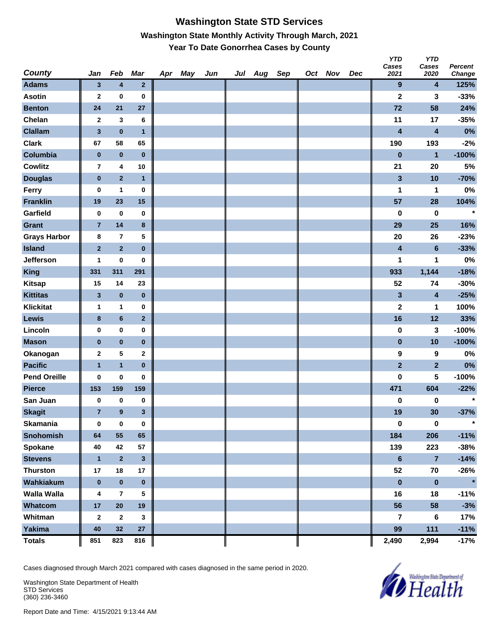## **Washington State STD Services Washington State Monthly Activity Through March, 2021 Year To Date Gonorrhea Cases by County**

| <b>County</b>       | Jan            | Feb            | Mar                     | Apr May | Jun | Jul | Aug | Sep | Oct Nov | Dec | טוז<br>Cases<br>2021    | טוז<br>Cases<br>2020    | <b>Percent</b><br>Change |
|---------------------|----------------|----------------|-------------------------|---------|-----|-----|-----|-----|---------|-----|-------------------------|-------------------------|--------------------------|
| <b>Adams</b>        | $\mathbf{3}$   | 4              | $\mathbf{2}$            |         |     |     |     |     |         |     | 9                       | 4                       | 125%                     |
| <b>Asotin</b>       | $\mathbf{2}$   | $\bf{0}$       | 0                       |         |     |     |     |     |         |     | $\mathbf 2$             | 3                       | $-33%$                   |
| <b>Benton</b>       | 24             | 21             | 27                      |         |     |     |     |     |         |     | 72                      | 58                      | 24%                      |
| Chelan              | $\mathbf{2}$   | 3              | 6                       |         |     |     |     |     |         |     | 11                      | 17                      | $-35%$                   |
| <b>Clallam</b>      | $\mathbf 3$    | $\pmb{0}$      | $\mathbf{1}$            |         |     |     |     |     |         |     | $\overline{\mathbf{4}}$ | $\overline{\mathbf{4}}$ | 0%                       |
| <b>Clark</b>        | 67             | 58             | 65                      |         |     |     |     |     |         |     | 190                     | 193                     | $-2%$                    |
| Columbia            | $\pmb{0}$      | $\pmb{0}$      | $\bf{0}$                |         |     |     |     |     |         |     | $\bf{0}$                | $\mathbf{1}$            | $-100%$                  |
| <b>Cowlitz</b>      | 7              | 4              | 10                      |         |     |     |     |     |         |     | 21                      | 20                      | $5%$                     |
| <b>Douglas</b>      | $\pmb{0}$      | $\overline{2}$ | $\mathbf{1}$            |         |     |     |     |     |         |     | $\mathbf{3}$            | 10                      | $-70%$                   |
| Ferry               | 0              | $\mathbf{1}$   | $\pmb{0}$               |         |     |     |     |     |         |     | 1                       | 1                       | $0\%$                    |
| <b>Franklin</b>     | 19             | 23             | 15                      |         |     |     |     |     |         |     | 57                      | 28                      | 104%                     |
| Garfield            | $\pmb{0}$      | $\pmb{0}$      | 0                       |         |     |     |     |     |         |     | 0                       | 0                       | $\star$                  |
| <b>Grant</b>        | $\overline{7}$ | 14             | $\bf8$                  |         |     |     |     |     |         |     | 29                      | 25                      | 16%                      |
| <b>Grays Harbor</b> | 8              | $\bf 7$        | 5                       |         |     |     |     |     |         |     | 20                      | 26                      | $-23%$                   |
| <b>Island</b>       | $\mathbf 2$    | $\overline{2}$ | $\bf{0}$                |         |     |     |     |     |         |     | 4                       | $6\phantom{1}$          | $-33%$                   |
| Jefferson           | 1              | 0              | 0                       |         |     |     |     |     |         |     | 1                       | 1                       | $0\%$                    |
| <b>King</b>         | 331            | 311            | 291                     |         |     |     |     |     |         |     | 933                     | 1,144                   | $-18%$                   |
| <b>Kitsap</b>       | 15             | 14             | 23                      |         |     |     |     |     |         |     | 52                      | 74                      | $-30%$                   |
| <b>Kittitas</b>     | $\mathbf{3}$   | $\pmb{0}$      | $\pmb{0}$               |         |     |     |     |     |         |     | $\mathbf{3}$            | 4                       | $-25%$                   |
| <b>Klickitat</b>    | $\mathbf{1}$   | $\mathbf{1}$   | $\pmb{0}$               |         |     |     |     |     |         |     | $\mathbf 2$             | 1                       | 100%                     |
| Lewis               | 8              | $\bf 6$        | $\mathbf{2}$            |         |     |     |     |     |         |     | 16                      | 12                      | 33%                      |
| Lincoln             | $\pmb{0}$      | $\pmb{0}$      | 0                       |         |     |     |     |     |         |     | 0                       | 3                       | $-100%$                  |
| <b>Mason</b>        | $\bf{0}$       | $\pmb{0}$      | $\pmb{0}$               |         |     |     |     |     |         |     | $\pmb{0}$               | 10                      | $-100%$                  |
| Okanogan            | $\mathbf{2}$   | 5              | 2                       |         |     |     |     |     |         |     | 9                       | 9                       | $0\%$                    |
| <b>Pacific</b>      | $\mathbf{1}$   | $\mathbf{1}$   | $\bf{0}$                |         |     |     |     |     |         |     | $\overline{2}$          | $\mathbf{2}$            | 0%                       |
| <b>Pend Oreille</b> | 0              | 0              | 0                       |         |     |     |     |     |         |     | 0                       | 5                       | $-100%$                  |
| <b>Pierce</b>       | 153            | 159            | 159                     |         |     |     |     |     |         |     | 471                     | 604                     | $-22%$                   |
| San Juan            | 0              | 0              | 0                       |         |     |     |     |     |         |     | 0                       | 0                       | $\star$                  |
| <b>Skagit</b>       | $\overline{7}$ | $\pmb{9}$      | $\mathbf{3}$            |         |     |     |     |     |         |     | 19                      | 30                      | $-37%$                   |
| Skamania            | $\pmb{0}$      | $\pmb{0}$      | $\pmb{0}$               |         |     |     |     |     |         |     | $\mathbf 0$             | $\mathbf 0$             | $\star$                  |
| Snohomish           | 64             | 55             | 65                      |         |     |     |     |     |         |     | 184                     | 206                     | $-11%$                   |
| Spokane             | 40             | 42             | 57                      |         |     |     |     |     |         |     | 139                     | 223                     | $-38%$                   |
| <b>Stevens</b>      | $\mathbf{1}$   | $\mathbf 2$    | $\overline{\mathbf{3}}$ |         |     |     |     |     |         |     | $\bf 6$                 | $\overline{7}$          | $-14%$                   |
| <b>Thurston</b>     | 17             | 18             | 17                      |         |     |     |     |     |         |     | 52                      | 70                      | $-26%$                   |
| Wahkiakum           | $\pmb{0}$      | $\pmb{0}$      | $\pmb{0}$               |         |     |     |     |     |         |     | $\pmb{0}$               | $\pmb{0}$               | $\star$                  |
| <b>Walla Walla</b>  | 4              | $\overline{7}$ | 5                       |         |     |     |     |     |         |     | 16                      | 18                      | $-11%$                   |
| Whatcom             | $17\,$         | ${\bf 20}$     | 19                      |         |     |     |     |     |         |     | 56                      | 58                      | $-3%$                    |
| Whitman             | $\mathbf{2}$   | $\mathbf{2}$   | 3                       |         |     |     |     |     |         |     | 7                       | 6                       | 17%                      |
| <b>Yakima</b>       | 40             | 32             | 27                      |         |     |     |     |     |         |     | 99                      | $111$                   | $-11%$                   |
| <b>Totals</b>       | 851            | 823            | 816                     |         |     |     |     |     |         |     | 2,490                   | 2,994                   | $-17%$                   |

Cases diagnosed through March 2021 compared with cases diagnosed in the same period in 2020.

Washington State Department of Health STD Services (360) 236-3460



*Y* 

*YTD*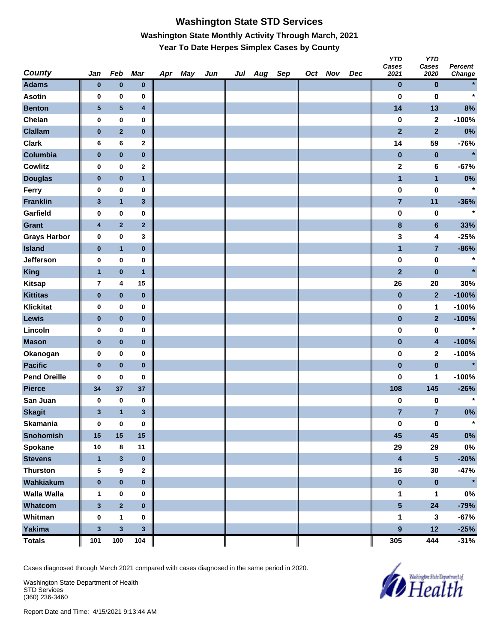# **Washington State STD Services Washington State Monthly Activity Through March, 2021 Year To Date Herpes Simplex Cases by County**

| <b>County</b>       | Jan                     | Feb                     | <b>Mar</b>   | Apr May | Jun | Jul Aug Sep |  | Oct Nov | Dec | <b>YTD</b><br>Cases<br>2021 | <b>YTD</b><br>Cases<br>2020 | Percent<br>Change |
|---------------------|-------------------------|-------------------------|--------------|---------|-----|-------------|--|---------|-----|-----------------------------|-----------------------------|-------------------|
| <b>Adams</b>        | $\bf{0}$                | $\bf{0}$                | $\pmb{0}$    |         |     |             |  |         |     | $\pmb{0}$                   | $\bf{0}$                    | $\star$           |
| <b>Asotin</b>       | 0                       | $\bf{0}$                | 0            |         |     |             |  |         |     | $\bf{0}$                    | $\bf{0}$                    | $\star$           |
| <b>Benton</b>       | $\sqrt{5}$              | $\overline{\mathbf{5}}$ | 4            |         |     |             |  |         |     | 14                          | 13                          | 8%                |
| Chelan              | 0                       | $\pmb{0}$               | 0            |         |     |             |  |         |     | $\pmb{0}$                   | $\mathbf 2$                 | $-100%$           |
| <b>Clallam</b>      | $\pmb{0}$               | $\overline{\mathbf{2}}$ | $\pmb{0}$    |         |     |             |  |         |     | $\overline{2}$              | $\overline{2}$              | $0\%$             |
| <b>Clark</b>        | 6                       | 6                       | 2            |         |     |             |  |         |     | 14                          | 59                          | $-76%$            |
| Columbia            | $\pmb{0}$               | $\pmb{0}$               | $\pmb{0}$    |         |     |             |  |         |     | $\pmb{0}$                   | $\bf{0}$                    | $\star$           |
| <b>Cowlitz</b>      | 0                       | $\pmb{0}$               | $\mathbf{2}$ |         |     |             |  |         |     | $\mathbf 2$                 | 6                           | $-67%$            |
| <b>Douglas</b>      | $\bf{0}$                | $\bf{0}$                | $\mathbf{1}$ |         |     |             |  |         |     | $\mathbf{1}$                | $\mathbf{1}$                | $0\%$             |
| Ferry               | 0                       | $\mathbf 0$             | 0            |         |     |             |  |         |     | $\pmb{0}$                   | $\pmb{0}$                   | $\star$           |
| <b>Franklin</b>     | $\mathbf{3}$            | $\overline{\mathbf{1}}$ | 3            |         |     |             |  |         |     | $\overline{\mathbf{7}}$     | 11                          | $-36%$            |
| Garfield            | 0                       | $\pmb{0}$               | 0            |         |     |             |  |         |     | $\pmb{0}$                   | $\bf{0}$                    | $\star$           |
| Grant               | $\overline{\mathbf{4}}$ | $\overline{\mathbf{2}}$ | $\mathbf{2}$ |         |     |             |  |         |     | $\bf8$                      | $6\phantom{a}$              | 33%               |
| <b>Grays Harbor</b> | 0                       | $\pmb{0}$               | 3            |         |     |             |  |         |     | 3                           | 4                           | $-25%$            |
| <b>Island</b>       | $\pmb{0}$               | $\mathbf{1}$            | $\pmb{0}$    |         |     |             |  |         |     | $\mathbf{1}$                | $\overline{\mathbf{7}}$     | $-86%$            |
| Jefferson           | 0                       | $\pmb{0}$               | 0            |         |     |             |  |         |     | $\pmb{0}$                   | $\pmb{0}$                   | $\star$           |
| <b>King</b>         | $\mathbf{1}$            | $\pmb{0}$               | $\mathbf{1}$ |         |     |             |  |         |     | $\overline{2}$              | $\bf{0}$                    | $\star$           |
| <b>Kitsap</b>       | $\overline{7}$          | $\boldsymbol{4}$        | 15           |         |     |             |  |         |     | 26                          | 20                          | 30%               |
| <b>Kittitas</b>     | $\bf{0}$                | $\bf{0}$                | $\pmb{0}$    |         |     |             |  |         |     | $\pmb{0}$                   | $\mathbf{2}$                | $-100%$           |
| <b>Klickitat</b>    | 0                       | $\bf{0}$                | 0            |         |     |             |  |         |     | $\pmb{0}$                   | 1                           | $-100%$           |
| Lewis               | $\pmb{0}$               | $\pmb{0}$               | $\pmb{0}$    |         |     |             |  |         |     | $\pmb{0}$                   | $\overline{\mathbf{2}}$     | $-100%$           |
| Lincoln             | 0                       | $\pmb{0}$               | 0            |         |     |             |  |         |     | $\bf{0}$                    | $\pmb{0}$                   | $\star$           |
| <b>Mason</b>        | $\pmb{0}$               | $\pmb{0}$               | $\pmb{0}$    |         |     |             |  |         |     | $\pmb{0}$                   | $\overline{\mathbf{4}}$     | $-100%$           |
| Okanogan            | 0                       | $\pmb{0}$               | 0            |         |     |             |  |         |     | $\pmb{0}$                   | $\mathbf{2}$                | $-100%$           |
| <b>Pacific</b>      | $\pmb{0}$               | $\pmb{0}$               | $\pmb{0}$    |         |     |             |  |         |     | $\pmb{0}$                   | $\pmb{0}$                   | $\star$           |
| <b>Pend Oreille</b> | 0                       | $\bf{0}$                | 0            |         |     |             |  |         |     | $\bf{0}$                    | 1                           | $-100%$           |
| <b>Pierce</b>       | 34                      | 37                      | 37           |         |     |             |  |         |     | 108                         | 145                         | $-26%$            |
| San Juan            | 0                       | $\pmb{0}$               | 0            |         |     |             |  |         |     | 0                           | 0                           | $\star$           |
| <b>Skagit</b>       | $\mathbf{3}$            | $\mathbf{1}$            | 3            |         |     |             |  |         |     | $\overline{7}$              | $\overline{7}$              | 0%                |
| <b>Skamania</b>     | $\pmb{0}$               | $\pmb{0}$               | $\pmb{0}$    |         |     |             |  |         |     | $\pmb{0}$                   | $\pmb{0}$                   | $\star$           |
| Snohomish           | 15                      | 15                      | 15           |         |     |             |  |         |     | 45                          | 45                          | $0\%$             |
| <b>Spokane</b>      | 10                      | 8                       | 11           |         |     |             |  |         |     | 29                          | 29                          | $0\%$             |
| <b>Stevens</b>      | $\mathbf{1}$            | $\mathbf{3}$            | $\pmb{0}$    |         |     |             |  |         |     | $\overline{\mathbf{4}}$     | 5                           | $-20%$            |
| <b>Thurston</b>     | ${\bf 5}$               | $\boldsymbol{9}$        | $\mathbf{2}$ |         |     |             |  |         |     | 16                          | 30                          | $-47%$            |
| Wahkiakum           | $\pmb{0}$               | $\pmb{0}$               | $\pmb{0}$    |         |     |             |  |         |     | $\pmb{0}$                   | $\pmb{0}$                   | $\star$           |
| Walla Walla         | 1                       | $\pmb{0}$               | 0            |         |     |             |  |         |     | 1                           | 1                           | $0\%$             |
| Whatcom             | $\mathbf{3}$            | $\overline{2}$          | $\pmb{0}$    |         |     |             |  |         |     | $5\phantom{.0}$             | 24                          | $-79%$            |
| Whitman             | $\pmb{0}$               | $\mathbf 1$             | 0            |         |     |             |  |         |     | 1                           | $\mathbf{3}$                | $-67%$            |
| Yakima              | $\mathbf 3$             | $\mathbf{3}$            | 3            |         |     |             |  |         |     | $\boldsymbol{9}$            | 12                          | $-25%$            |
| <b>Totals</b>       | 101                     | 100                     | 104          |         |     |             |  |         |     | 305                         | 444                         | $-31%$            |

Cases diagnosed through March 2021 compared with cases diagnosed in the same period in 2020.

Washington State Department of Health STD Services (360) 236-3460

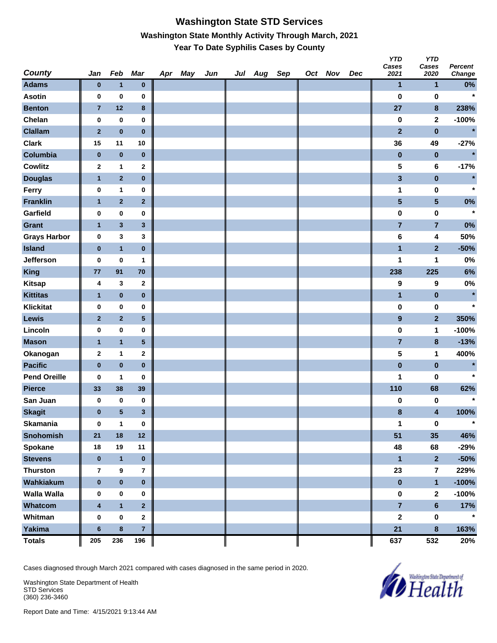#### **Washington State STD Services Washington State Monthly Activity Through March, 2021 Year To Date Syphilis Cases by County**

| <b>County</b>       | Jan                     | Feb                     | <b>Mar</b>              | Apr May | Jun | Jul Aug Sep |  | Oct Nov | Dec | <b>YTD</b><br>Cases<br>2021 | <b>YTD</b><br>Cases<br>2020 | Percent<br>Change |
|---------------------|-------------------------|-------------------------|-------------------------|---------|-----|-------------|--|---------|-----|-----------------------------|-----------------------------|-------------------|
| <b>Adams</b>        | $\bf{0}$                | $\mathbf{1}$            | $\pmb{0}$               |         |     |             |  |         |     | $\mathbf{1}$                | $\mathbf{1}$                | $0\%$             |
| <b>Asotin</b>       | 0                       | $\bf{0}$                | 0                       |         |     |             |  |         |     | $\bf{0}$                    | $\bf{0}$                    | $\star$           |
| <b>Benton</b>       | $\overline{7}$          | 12                      | 8                       |         |     |             |  |         |     | 27                          | $\pmb{8}$                   | 238%              |
| Chelan              | 0                       | $\bf{0}$                | $\pmb{0}$               |         |     |             |  |         |     | $\pmb{0}$                   | $\mathbf 2$                 | $-100%$           |
| <b>Clallam</b>      | $\mathbf{2}$            | $\bf{0}$                | $\pmb{0}$               |         |     |             |  |         |     | $\overline{2}$              | $\pmb{0}$                   | $\star$           |
| <b>Clark</b>        | 15                      | 11                      | 10                      |         |     |             |  |         |     | 36                          | 49                          | $-27%$            |
| Columbia            | $\pmb{0}$               | $\pmb{0}$               | $\pmb{0}$               |         |     |             |  |         |     | $\pmb{0}$                   | $\pmb{0}$                   | $\star$           |
| <b>Cowlitz</b>      | 2                       | $\mathbf{1}$            | $\mathbf{2}$            |         |     |             |  |         |     | 5                           | 6                           | $-17%$            |
| <b>Douglas</b>      | 1                       | $\overline{\mathbf{2}}$ | $\pmb{0}$               |         |     |             |  |         |     | $\mathbf{3}$                | $\pmb{0}$                   | $\star$           |
| Ferry               | 0                       | $\mathbf{1}$            | 0                       |         |     |             |  |         |     | 1                           | $\pmb{0}$                   | $\star$           |
| <b>Franklin</b>     | $\mathbf{1}$            | $\mathbf 2$             | $\mathbf{2}$            |         |     |             |  |         |     | $5\phantom{.0}$             | $5\phantom{a}$              | $0\%$             |
| Garfield            | 0                       | $\pmb{0}$               | 0                       |         |     |             |  |         |     | $\bf{0}$                    | $\bf{0}$                    | $\star$           |
| Grant               | $\mathbf{1}$            | $\mathbf 3$             | 3                       |         |     |             |  |         |     | $\overline{7}$              | $\overline{7}$              | 0%                |
| <b>Grays Harbor</b> | 0                       | $\mathbf{3}$            | 3                       |         |     |             |  |         |     | $\bf 6$                     | 4                           | 50%               |
| <b>Island</b>       | $\pmb{0}$               | $\mathbf{1}$            | $\pmb{0}$               |         |     |             |  |         |     | $\mathbf{1}$                | $\overline{\mathbf{2}}$     | $-50%$            |
| Jefferson           | 0                       | $\bf{0}$                | 1                       |         |     |             |  |         |     | 1                           | 1                           | $0\%$             |
| <b>King</b>         | 77                      | 91                      | 70                      |         |     |             |  |         |     | 238                         | 225                         | 6%                |
| <b>Kitsap</b>       | 4                       | 3                       | $\mathbf{2}$            |         |     |             |  |         |     | 9                           | 9                           | 0%                |
| <b>Kittitas</b>     | $\mathbf{1}$            | $\bf{0}$                | $\pmb{0}$               |         |     |             |  |         |     | $\mathbf{1}$                | $\pmb{0}$                   | $\star$           |
| <b>Klickitat</b>    | 0                       | $\mathbf 0$             | 0                       |         |     |             |  |         |     | $\pmb{0}$                   | $\pmb{0}$                   | $\star$           |
| Lewis               | $\mathbf{2}$            | $\mathbf 2$             | 5                       |         |     |             |  |         |     | $\boldsymbol{9}$            | $\overline{2}$              | 350%              |
| Lincoln             | 0                       | $\pmb{0}$               | 0                       |         |     |             |  |         |     | $\bf{0}$                    | $\mathbf{1}$                | $-100%$           |
| <b>Mason</b>        | $\mathbf{1}$            | $\mathbf{1}$            | 5                       |         |     |             |  |         |     | $\overline{7}$              | $\pmb{8}$                   | $-13%$            |
| Okanogan            | $\mathbf 2$             | 1                       | 2                       |         |     |             |  |         |     | 5                           | 1                           | 400%              |
| <b>Pacific</b>      | $\pmb{0}$               | $\pmb{0}$               | $\pmb{0}$               |         |     |             |  |         |     | $\pmb{0}$                   | $\pmb{0}$                   | $\star$           |
| <b>Pend Oreille</b> | 0                       | 1                       | 0                       |         |     |             |  |         |     | 1                           | 0                           | $\star$           |
| <b>Pierce</b>       | 33                      | 38                      | 39                      |         |     |             |  |         |     | 110                         | 68                          | 62%               |
| San Juan            | 0                       | $\pmb{0}$               | 0                       |         |     |             |  |         |     | 0                           | 0                           | $\star$           |
| <b>Skagit</b>       | $\pmb{0}$               | $\sqrt{5}$              | 3                       |         |     |             |  |         |     | $\bf8$                      | 4                           | 100%              |
| <b>Skamania</b>     | $\pmb{0}$               | $\mathbf{1}$            | $\pmb{0}$               |         |     |             |  |         |     | $\mathbf{1}$                | $\pmb{0}$                   | $\star$           |
| <b>Snohomish</b>    | 21                      | 18                      | $12$                    |         |     |             |  |         |     | 51                          | 35                          | 46%               |
| <b>Spokane</b>      | 18                      | 19                      | 11                      |         |     |             |  |         |     | 48                          | 68                          | $-29%$            |
| <b>Stevens</b>      | $\pmb{0}$               | $\mathbf{1}$            | $\pmb{0}$               |         |     |             |  |         |     | $\mathbf{1}$                | $\overline{\mathbf{2}}$     | $-50%$            |
| <b>Thurston</b>     | $\overline{\mathbf{r}}$ | $\boldsymbol{9}$        | $\overline{\mathbf{r}}$ |         |     |             |  |         |     | 23                          | $\overline{7}$              | 229%              |
| Wahkiakum           | $\pmb{0}$               | $\pmb{0}$               | $\pmb{0}$               |         |     |             |  |         |     | $\pmb{0}$                   | $\mathbf{1}$                | $-100%$           |
| <b>Walla Walla</b>  | 0                       | $\mathbf 0$             | 0                       |         |     |             |  |         |     | $\pmb{0}$                   | $\boldsymbol{2}$            | $-100%$           |
| Whatcom             | $\overline{\mathbf{4}}$ | $\mathbf{1}$            | $\overline{2}$          |         |     |             |  |         |     | $\overline{7}$              | $\bf 6$                     | 17%               |
| Whitman             | $\pmb{0}$               | $\pmb{0}$               | $\mathbf{2}$            |         |     |             |  |         |     | $\mathbf{2}$                | $\pmb{0}$                   | $\star$           |
| Yakima              | $\bf 6$                 | $\pmb{8}$               | 7                       |         |     |             |  |         |     | 21                          | $\bf{8}$                    | 163%              |
| <b>Totals</b>       | 205                     | 236                     | 196                     |         |     |             |  |         |     | 637                         | 532                         | 20%               |

Cases diagnosed through March 2021 compared with cases diagnosed in the same period in 2020.

Washington State Department of Health STD Services (360) 236-3460

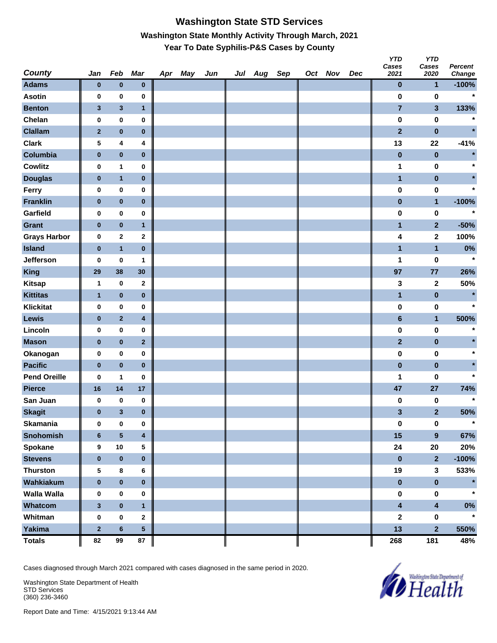# **Washington State STD Services Washington State Monthly Activity Through March, 2021 Year To Date Syphilis-P&S Cases by County**

| <b>County</b>       | Jan            | Feb          | <b>Mar</b>   | Apr May | Jun | Jul Aug Sep |  | Oct Nov | Dec | <b>YTD</b><br>Cases<br>2021 | <b>YTD</b><br>Cases<br>2020 | Percent<br>Change |
|---------------------|----------------|--------------|--------------|---------|-----|-------------|--|---------|-----|-----------------------------|-----------------------------|-------------------|
| <b>Adams</b>        | $\bf{0}$       | $\bf{0}$     | $\pmb{0}$    |         |     |             |  |         |     | $\pmb{0}$                   | 1                           | $-100%$           |
| <b>Asotin</b>       | 0              | $\pmb{0}$    | 0            |         |     |             |  |         |     | $\bf{0}$                    | $\bf{0}$                    | $\star$           |
| <b>Benton</b>       | $\mathbf{3}$   | $\mathbf{3}$ | $\mathbf{1}$ |         |     |             |  |         |     | $\overline{7}$              | $\mathbf{3}$                | 133%              |
| Chelan              | 0              | $\pmb{0}$    | 0            |         |     |             |  |         |     | $\pmb{0}$                   | $\pmb{0}$                   | $\ast$            |
| <b>Clallam</b>      | $\mathbf{2}$   | $\pmb{0}$    | $\pmb{0}$    |         |     |             |  |         |     | $\overline{2}$              | $\pmb{0}$                   | $\star$           |
| <b>Clark</b>        | 5              | 4            | 4            |         |     |             |  |         |     | 13                          | 22                          | $-41%$            |
| Columbia            | $\pmb{0}$      | $\pmb{0}$    | $\pmb{0}$    |         |     |             |  |         |     | $\pmb{0}$                   | $\pmb{0}$                   | $\star$           |
| Cowlitz             | 0              | $\mathbf{1}$ | 0            |         |     |             |  |         |     | 1                           | $\pmb{0}$                   | $\star$           |
| <b>Douglas</b>      | $\bf{0}$       | $\mathbf{1}$ | $\pmb{0}$    |         |     |             |  |         |     | $\mathbf{1}$                | $\pmb{0}$                   |                   |
| Ferry               | 0              | $\pmb{0}$    | 0            |         |     |             |  |         |     | $\pmb{0}$                   | $\pmb{0}$                   | $\star$           |
| <b>Franklin</b>     | $\pmb{0}$      | $\pmb{0}$    | $\pmb{0}$    |         |     |             |  |         |     | $\bf{0}$                    | $\mathbf{1}$                | $-100%$           |
| Garfield            | 0              | $\pmb{0}$    | 0            |         |     |             |  |         |     | $\bf{0}$                    | $\pmb{0}$                   | $\star$           |
| <b>Grant</b>        | $\pmb{0}$      | $\pmb{0}$    | $\mathbf{1}$ |         |     |             |  |         |     | 1                           | $\mathbf{2}$                | $-50%$            |
| <b>Grays Harbor</b> | 0              | $\mathbf{2}$ | 2            |         |     |             |  |         |     | 4                           | $\mathbf 2$                 | 100%              |
| <b>Island</b>       | $\pmb{0}$      | $\mathbf{1}$ | $\pmb{0}$    |         |     |             |  |         |     | $\mathbf{1}$                | $\mathbf{1}$                | $0\%$             |
| <b>Jefferson</b>    | 0              | $\bf{0}$     | 1            |         |     |             |  |         |     | 1                           | 0                           | $\star$           |
| <b>King</b>         | 29             | 38           | 30           |         |     |             |  |         |     | 97                          | 77                          | 26%               |
| <b>Kitsap</b>       | 1              | $\pmb{0}$    | $\mathbf{2}$ |         |     |             |  |         |     | 3                           | 2                           | 50%               |
| <b>Kittitas</b>     | 1              | $\bf{0}$     | $\pmb{0}$    |         |     |             |  |         |     | $\mathbf{1}$                | $\pmb{0}$                   | $\star$           |
| <b>Klickitat</b>    | 0              | $\pmb{0}$    | 0            |         |     |             |  |         |     | $\pmb{0}$                   | 0                           | $\star$           |
| Lewis               | $\pmb{0}$      | $\mathbf 2$  | 4            |         |     |             |  |         |     | $\bf 6$                     | $\mathbf{1}$                | 500%              |
| Lincoln             | 0              | $\pmb{0}$    | 0            |         |     |             |  |         |     | $\bf{0}$                    | $\bf{0}$                    | $\star$           |
| <b>Mason</b>        | $\pmb{0}$      | $\pmb{0}$    | $\mathbf{2}$ |         |     |             |  |         |     | $\mathbf{2}$                | $\pmb{0}$                   |                   |
| Okanogan            | 0              | $\pmb{0}$    | 0            |         |     |             |  |         |     | $\pmb{0}$                   | $\pmb{0}$                   | $\star$           |
| <b>Pacific</b>      | $\pmb{0}$      | $\pmb{0}$    | $\pmb{0}$    |         |     |             |  |         |     | $\pmb{0}$                   | $\pmb{0}$                   |                   |
| <b>Pend Oreille</b> | 0              | 1            | 0            |         |     |             |  |         |     | 1                           | 0                           | $\star$           |
| <b>Pierce</b>       | 16             | 14           | 17           |         |     |             |  |         |     | 47                          | 27                          | 74%               |
| San Juan            | 0              | $\pmb{0}$    | 0            |         |     |             |  |         |     | 0                           | 0                           | $\star$           |
| <b>Skagit</b>       | $\bf{0}$       | $\mathbf{3}$ | $\bf{0}$     |         |     |             |  |         |     | 3                           | $\mathbf{2}$                | 50%               |
| <b>Skamania</b>     | 0              | $\pmb{0}$    | $\pmb{0}$    |         |     |             |  |         |     | $\pmb{0}$                   | $\pmb{0}$                   | $\star$           |
| Snohomish           | $6\phantom{1}$ | ${\bf 5}$    | 4            |         |     |             |  |         |     | 15                          | $\boldsymbol{9}$            | 67%               |
| <b>Spokane</b>      | 9              | $10\,$       | 5            |         |     |             |  |         |     | 24                          | $20\,$                      | 20%               |
| <b>Stevens</b>      | $\pmb{0}$      | $\pmb{0}$    | $\pmb{0}$    |         |     |             |  |         |     | $\pmb{0}$                   | $\overline{\mathbf{2}}$     | $-100%$           |
| <b>Thurston</b>     | 5              | $\bf 8$      | 6            |         |     |             |  |         |     | 19                          | $\mathbf{3}$                | 533%              |
| Wahkiakum           | $\pmb{0}$      | $\pmb{0}$    | $\pmb{0}$    |         |     |             |  |         |     | $\pmb{0}$                   | $\pmb{0}$                   | $\star$           |
| <b>Walla Walla</b>  | 0              | $\pmb{0}$    | 0            |         |     |             |  |         |     | $\pmb{0}$                   | $\pmb{0}$                   |                   |
| Whatcom             | $\mathbf{3}$   | $\pmb{0}$    | $\mathbf{1}$ |         |     |             |  |         |     | $\overline{\mathbf{4}}$     | $\overline{\mathbf{4}}$     | $0\%$             |
| Whitman             | $\pmb{0}$      | $\pmb{0}$    | $\mathbf{2}$ |         |     |             |  |         |     | $\mathbf 2$                 | $\pmb{0}$                   | $\star$           |
| Yakima              | $\mathbf 2$    | $\bf 6$      | 5            |         |     |             |  |         |     | 13                          | $\overline{\mathbf{2}}$     | 550%              |
| <b>Totals</b>       | 82             | 99           | 87           |         |     |             |  |         |     | 268                         | 181                         | 48%               |

Cases diagnosed through March 2021 compared with cases diagnosed in the same period in 2020.

Washington State Department of Health STD Services (360) 236-3460

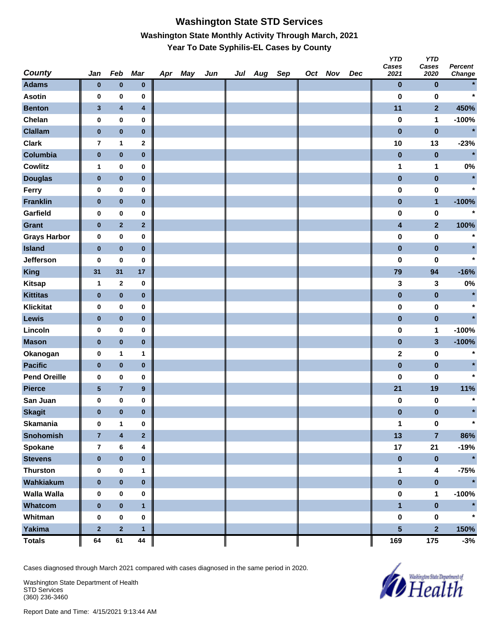## **Washington State STD Services Washington State Monthly Activity Through March, 2021 Year To Date Syphilis-EL Cases by County**

| <b>County</b>       | Jan            | Feb                     | <b>Mar</b>              | Apr May | Jun | Jul Aug Sep |  | Oct Nov | Dec | <b>YTD</b><br>Cases<br>2021 | <b>YTD</b><br>Cases<br>2020 | <b>Percent</b><br>Change |
|---------------------|----------------|-------------------------|-------------------------|---------|-----|-------------|--|---------|-----|-----------------------------|-----------------------------|--------------------------|
| <b>Adams</b>        | $\bf{0}$       | $\bf{0}$                | $\pmb{0}$               |         |     |             |  |         |     | 0                           | $\bf{0}$                    |                          |
| <b>Asotin</b>       | $\pmb{0}$      | 0                       | 0                       |         |     |             |  |         |     | $\bf{0}$                    | $\bf{0}$                    | $\star$                  |
| <b>Benton</b>       | $\mathbf{3}$   | $\overline{\mathbf{4}}$ | $\overline{\mathbf{4}}$ |         |     |             |  |         |     | 11                          | $\mathbf{2}$                | 450%                     |
| Chelan              | $\pmb{0}$      | $\pmb{0}$               | 0                       |         |     |             |  |         |     | $\pmb{0}$                   | 1                           | $-100%$                  |
| <b>Clallam</b>      | $\bf{0}$       | $\pmb{0}$               | $\pmb{0}$               |         |     |             |  |         |     | $\bf{0}$                    | $\pmb{0}$                   | $\star$                  |
| <b>Clark</b>        | $\overline{7}$ | $\mathbf{1}$            | $\mathbf 2$             |         |     |             |  |         |     | 10                          | 13                          | $-23%$                   |
| Columbia            | $\pmb{0}$      | $\pmb{0}$               | $\pmb{0}$               |         |     |             |  |         |     | $\bf{0}$                    | $\bf{0}$                    | $\star$                  |
| <b>Cowlitz</b>      | 1              | $\mathbf 0$             | 0                       |         |     |             |  |         |     | 1                           | 1                           | 0%                       |
| <b>Douglas</b>      | $\pmb{0}$      | $\pmb{0}$               | $\pmb{0}$               |         |     |             |  |         |     | $\pmb{0}$                   | $\pmb{0}$                   | $\star$                  |
| Ferry               | 0              | $\pmb{0}$               | 0                       |         |     |             |  |         |     | $\pmb{0}$                   | $\pmb{0}$                   | $\star$                  |
| <b>Franklin</b>     | $\bf{0}$       | $\pmb{0}$               | $\pmb{0}$               |         |     |             |  |         |     | $\pmb{0}$                   | $\mathbf{1}$                | $-100%$                  |
| Garfield            | 0              | $\pmb{0}$               | 0                       |         |     |             |  |         |     | 0                           | $\bf{0}$                    | $\star$                  |
| <b>Grant</b>        | $\bf{0}$       | $\mathbf 2$             | $\overline{\mathbf{2}}$ |         |     |             |  |         |     | 4                           | $\mathbf{2}$                | 100%                     |
| <b>Grays Harbor</b> | $\pmb{0}$      | $\pmb{0}$               | 0                       |         |     |             |  |         |     | $\bf{0}$                    | $\bf{0}$                    | $\star$                  |
| <b>Island</b>       | $\bf{0}$       | $\pmb{0}$               | $\pmb{0}$               |         |     |             |  |         |     | $\pmb{0}$                   | $\pmb{0}$                   |                          |
| <b>Jefferson</b>    | 0              | 0                       | 0                       |         |     |             |  |         |     | $\bf{0}$                    | 0                           | $\star$                  |
| <b>King</b>         | 31             | 31                      | 17                      |         |     |             |  |         |     | 79                          | 94                          | $-16%$                   |
| <b>Kitsap</b>       | 1              | $\mathbf{2}$            | 0                       |         |     |             |  |         |     | 3                           | 3                           | 0%                       |
| <b>Kittitas</b>     | $\pmb{0}$      | $\pmb{0}$               | $\pmb{0}$               |         |     |             |  |         |     | $\pmb{0}$                   | $\pmb{0}$                   | $\star$                  |
| <b>Klickitat</b>    | 0              | $\pmb{0}$               | 0                       |         |     |             |  |         |     | $\pmb{0}$                   | $\pmb{0}$                   | $\star$                  |
| Lewis               | $\bf{0}$       | $\pmb{0}$               | $\pmb{0}$               |         |     |             |  |         |     | $\bf{0}$                    | $\pmb{0}$                   | $\star$                  |
| Lincoln             | $\pmb{0}$      | $\pmb{0}$               | 0                       |         |     |             |  |         |     | 0                           | 1                           | $-100%$                  |
| <b>Mason</b>        | $\bf{0}$       | $\pmb{0}$               | $\pmb{0}$               |         |     |             |  |         |     | $\pmb{0}$                   | 3                           | $-100%$                  |
| Okanogan            | $\pmb{0}$      | $\mathbf{1}$            | 1                       |         |     |             |  |         |     | $\mathbf 2$                 | $\bf{0}$                    | $\star$                  |
| <b>Pacific</b>      | $\bf{0}$       | $\pmb{0}$               | $\pmb{0}$               |         |     |             |  |         |     | $\pmb{0}$                   | $\pmb{0}$                   |                          |
| <b>Pend Oreille</b> | 0              | 0                       | 0                       |         |     |             |  |         |     | $\bf{0}$                    | 0                           | $\star$                  |
| <b>Pierce</b>       | ${\bf 5}$      | $\overline{7}$          | $\boldsymbol{9}$        |         |     |             |  |         |     | 21                          | 19                          | 11%                      |
| San Juan            | 0              | $\mathbf 0$             | 0                       |         |     |             |  |         |     | 0                           | 0                           | $\star$                  |
| <b>Skagit</b>       | $\bf{0}$       | $\bf{0}$                | $\bf{0}$                |         |     |             |  |         |     | 0                           | 0                           | $\star$                  |
| <b>Skamania</b>     | $\pmb{0}$      | 1                       | 0                       |         |     |             |  |         |     | 1                           | $\pmb{0}$                   | $\star$                  |
| Snohomish           | $\overline{7}$ | $\overline{\mathbf{4}}$ | $\overline{\mathbf{2}}$ |         |     |             |  |         |     | 13                          | $\overline{7}$              | 86%                      |
| <b>Spokane</b>      | $\overline{7}$ | 6                       | 4                       |         |     |             |  |         |     | 17                          | 21                          | $-19%$                   |
| <b>Stevens</b>      | $\pmb{0}$      | $\pmb{0}$               | $\pmb{0}$               |         |     |             |  |         |     | $\pmb{0}$                   | $\mathbf 0$                 | $\star$                  |
| <b>Thurston</b>     | $\pmb{0}$      | $\pmb{0}$               | 1                       |         |     |             |  |         |     | 1                           | 4                           | $-75%$                   |
| Wahkiakum           | $\pmb{0}$      | $\pmb{0}$               | $\pmb{0}$               |         |     |             |  |         |     | $\pmb{0}$                   | $\pmb{0}$                   | $\star$                  |
| <b>Walla Walla</b>  | 0              | 0                       | 0                       |         |     |             |  |         |     | 0                           | 1                           | $-100%$                  |
| Whatcom             | $\pmb{0}$      | $\pmb{0}$               | $\mathbf{1}$            |         |     |             |  |         |     | $\blacksquare$              | $\bf{0}$                    | $\star$                  |
| Whitman             | $\pmb{0}$      | $\pmb{0}$               | 0                       |         |     |             |  |         |     | $\pmb{0}$                   | $\pmb{0}$                   | $\star$                  |
| Yakima              | $\mathbf 2$    | $\overline{\mathbf{2}}$ | $\mathbf{1}$            |         |     |             |  |         |     | 5                           | $\overline{\mathbf{2}}$     | 150%                     |
| <b>Totals</b>       | 64             | 61                      | 44                      |         |     |             |  |         |     | 169                         | 175                         | $-3%$                    |

Cases diagnosed through March 2021 compared with cases diagnosed in the same period in 2020.

Washington State Department of Health STD Services (360) 236-3460

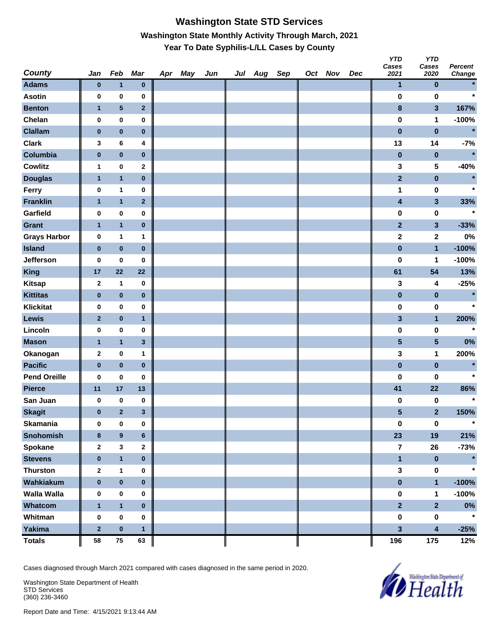## **Washington State STD Services Washington State Monthly Activity Through March, 2021 Year To Date Syphilis-L/LL Cases by County**

| <b>County</b>       | Jan          | Feb              | <b>Mar</b>   | Apr May | Jun | Jul Aug Sep |  | Oct Nov | Dec | <b>YTD</b><br>Cases<br>2021 | <b>YTD</b><br>Cases<br>2020 | Percent<br>Change |
|---------------------|--------------|------------------|--------------|---------|-----|-------------|--|---------|-----|-----------------------------|-----------------------------|-------------------|
| <b>Adams</b>        | $\bf{0}$     | $\mathbf{1}$     | $\pmb{0}$    |         |     |             |  |         |     | $\mathbf{1}$                | $\pmb{0}$                   |                   |
| <b>Asotin</b>       | 0            | $\pmb{0}$        | 0            |         |     |             |  |         |     | $\bf{0}$                    | $\bf{0}$                    | $\star$           |
| <b>Benton</b>       | $\mathbf{1}$ | ${\bf 5}$        | $\mathbf{2}$ |         |     |             |  |         |     | $\bf8$                      | $\mathbf{3}$                | 167%              |
| Chelan              | $\pmb{0}$    | $\pmb{0}$        | 0            |         |     |             |  |         |     | $\pmb{0}$                   | 1                           | $-100%$           |
| <b>Clallam</b>      | $\bf{0}$     | $\pmb{0}$        | $\pmb{0}$    |         |     |             |  |         |     | $\pmb{0}$                   | $\pmb{0}$                   | $\star$           |
| <b>Clark</b>        | 3            | 6                | 4            |         |     |             |  |         |     | 13                          | 14                          | $-7%$             |
| Columbia            | $\pmb{0}$    | $\pmb{0}$        | $\pmb{0}$    |         |     |             |  |         |     | $\pmb{0}$                   | $\pmb{0}$                   | $\star$           |
| <b>Cowlitz</b>      | 1            | $\bf{0}$         | $\mathbf 2$  |         |     |             |  |         |     | 3                           | 5                           | $-40%$            |
| <b>Douglas</b>      | $\mathbf{1}$ | $\mathbf{1}$     | $\pmb{0}$    |         |     |             |  |         |     | $\mathbf{2}$                | $\pmb{0}$                   | $\star$           |
| Ferry               | 0            | $\mathbf{1}$     | 0            |         |     |             |  |         |     | 1                           | $\pmb{0}$                   | $\star$           |
| <b>Franklin</b>     | $\mathbf{1}$ | $\mathbf{1}$     | $\mathbf 2$  |         |     |             |  |         |     | $\overline{\mathbf{4}}$     | $\mathbf{3}$                | 33%               |
| Garfield            | 0            | $\pmb{0}$        | 0            |         |     |             |  |         |     | $\pmb{0}$                   | 0                           | $\star$           |
| <b>Grant</b>        | $\mathbf{1}$ | $\mathbf{1}$     | $\pmb{0}$    |         |     |             |  |         |     | $\mathbf{2}$                | $\mathbf{3}$                | $-33%$            |
| <b>Grays Harbor</b> | $\pmb{0}$    | 1                | 1            |         |     |             |  |         |     | $\mathbf 2$                 | $\mathbf{2}$                | 0%                |
| <b>Island</b>       | $\pmb{0}$    | $\pmb{0}$        | $\pmb{0}$    |         |     |             |  |         |     | $\pmb{0}$                   | $\mathbf{1}$                | $-100%$           |
| Jefferson           | 0            | 0                | 0            |         |     |             |  |         |     | $\bf{0}$                    | 1                           | $-100%$           |
| <b>King</b>         | 17           | 22               | 22           |         |     |             |  |         |     | 61                          | 54                          | 13%               |
| <b>Kitsap</b>       | $\mathbf 2$  | 1                | 0            |         |     |             |  |         |     | 3                           | 4                           | $-25%$            |
| <b>Kittitas</b>     | $\pmb{0}$    | $\pmb{0}$        | $\pmb{0}$    |         |     |             |  |         |     | $\pmb{0}$                   | $\pmb{0}$                   | $\star$           |
| <b>Klickitat</b>    | $\mathbf 0$  | $\pmb{0}$        | 0            |         |     |             |  |         |     | $\pmb{0}$                   | 0                           | $\star$           |
| <b>Lewis</b>        | $\mathbf{2}$ | $\pmb{0}$        | $\mathbf{1}$ |         |     |             |  |         |     | $\mathbf{3}$                | $\mathbf{1}$                | 200%              |
| Lincoln             | 0            | $\pmb{0}$        | 0            |         |     |             |  |         |     | $\pmb{0}$                   | $\pmb{0}$                   | $\star$           |
| <b>Mason</b>        | $\mathbf{1}$ | $\mathbf{1}$     | $\mathbf{3}$ |         |     |             |  |         |     | $\overline{\mathbf{5}}$     | $5\phantom{.0}$             | 0%                |
| Okanogan            | $\mathbf{2}$ | $\pmb{0}$        | 1            |         |     |             |  |         |     | 3                           | 1                           | 200%              |
| <b>Pacific</b>      | $\bf{0}$     | $\pmb{0}$        | $\pmb{0}$    |         |     |             |  |         |     | $\pmb{0}$                   | $\pmb{0}$                   | $\star$           |
| <b>Pend Oreille</b> | 0            | $\pmb{0}$        | 0            |         |     |             |  |         |     | 0                           | 0                           | $\star$           |
| <b>Pierce</b>       | 11           | 17               | 13           |         |     |             |  |         |     | 41                          | 22                          | 86%               |
| San Juan            | 0            | $\bf{0}$         | 0            |         |     |             |  |         |     | 0                           | 0                           | $\star$           |
| <b>Skagit</b>       | $\bf{0}$     | $\overline{2}$   | 3            |         |     |             |  |         |     | 5                           | $\overline{\mathbf{2}}$     | 150%              |
| <b>Skamania</b>     | $\bf{0}$     | $\pmb{0}$        | $\pmb{0}$    |         |     |             |  |         |     | $\pmb{0}$                   | $\pmb{0}$                   | $\star$           |
| <b>Snohomish</b>    | $\bf{8}$     | $\boldsymbol{9}$ | $\bf 6$      |         |     |             |  |         |     | 23                          | 19                          | 21%               |
| <b>Spokane</b>      | $\mathbf{2}$ | 3                | $\mathbf 2$  |         |     |             |  |         |     | 7                           | 26                          | $-73%$            |
| <b>Stevens</b>      | $\pmb{0}$    | $\mathbf{1}$     | $\pmb{0}$    |         |     |             |  |         |     | $\blacksquare$              | $\pmb{0}$                   | $\pmb{\ast}$      |
| <b>Thurston</b>     | $\mathbf{2}$ | $\mathbf{1}$     | 0            |         |     |             |  |         |     | 3                           | $\pmb{0}$                   | $\star$           |
| Wahkiakum           | $\pmb{0}$    | $\pmb{0}$        | $\pmb{0}$    |         |     |             |  |         |     | $\pmb{0}$                   | $\mathbf{1}$                | $-100%$           |
| Walla Walla         | 0            | 0                | 0            |         |     |             |  |         |     | $\pmb{0}$                   | 1                           | $-100%$           |
| Whatcom             | $\mathbf{1}$ | $\mathbf{1}$     | $\pmb{0}$    |         |     |             |  |         |     | $\overline{2}$              | $\overline{2}$              | $0\%$             |
| Whitman             | $\pmb{0}$    | $\mathbf 0$      | 0            |         |     |             |  |         |     | $\pmb{0}$                   | $\pmb{0}$                   | $\star$           |
| Yakima              | $\mathbf 2$  | $\mathbf 0$      | $\mathbf{1}$ |         |     |             |  |         |     | 3                           | $\overline{\mathbf{4}}$     | $-25%$            |
| <b>Totals</b>       | 58           | 75               | 63           |         |     |             |  |         |     | 196                         | 175                         | 12%               |

Cases diagnosed through March 2021 compared with cases diagnosed in the same period in 2020.

Washington State Department of Health STD Services (360) 236-3460